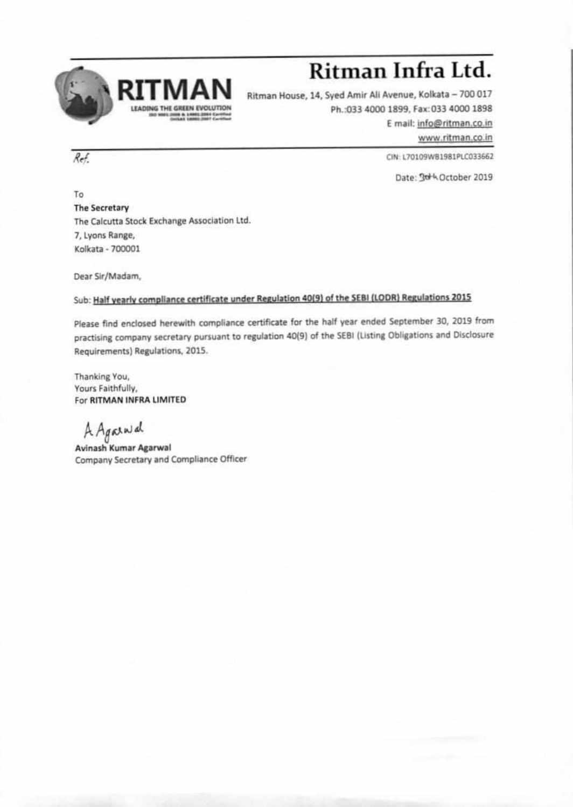

## **Ritman Infra Ltd.**

Ritman House, 14, Syed Amir Ali Avenue, Kolkata — 700 017 Ph.:033 4000 1899, Fax:033 4000 1898 E mail: info@ritman.co.in

www.ritman.co.in

 $Ref.$  CIN: L70109WB1981PLC033662

Date: 3d<sup>+</sup>4 October 2019

To The Secretary The Calcutta Stock Exchange Association Ltd. 7, Lyons Range, Kolkata - 700001

Dear Sir/Madam,

## Sub: Half yearly compliance certificate under Regulation 40(9) of the SEBI (LODR) Regulations 2015

Please find enclosed herewith compliance certificate for the half year ended September 30, 2019 from practising company secretary pursuant to regulation 40(9) of the SERI (Listing Obligations and Disclosure Requirements) Regulations, 2015.

Thanking You, Yours Faithfully, For RITMAN INFRA LIMITED

A Agained

Avinash Kumar Agarwal Company Secretary and Compliance Officer